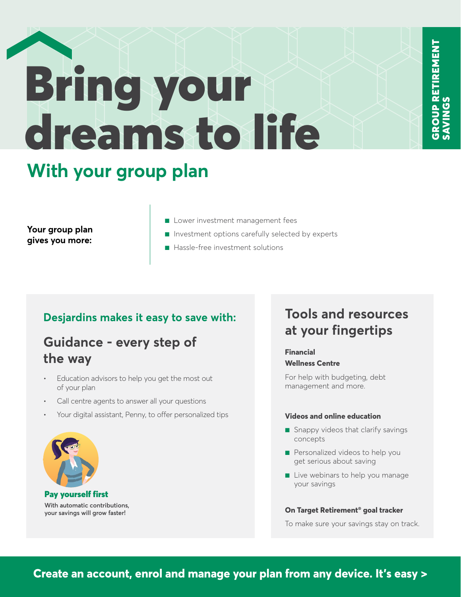# Bring your dreams to life

### **With your group plan**

**Your group plan gives you more:** 

- Lower investment management fees
- Investment options carefully selected by experts
- Hassle-free investment solutions

#### **Desjardins makes it easy to save with:**

#### **Guidance - every step of the way**

- Education advisors to help you get the most out of your plan
- Call centre agents to answer all your questions
- Your digital assistant, Penny, to offer personalized tips



Pay yourself first **With automatic contributions, your savings will grow faster!**

#### **Tools and resources at your fingertips**

GROUP RETIREMENT

**GROUP RETIREMENT** 

SAVINGS

#### **Financial Wellness Centre**

For help with budgeting, debt management and more.

#### **Videos and online education**

- Snappy videos that clarify savings concepts
- Personalized videos to help you get serious about saving
- Live webinars to help you manage your savings

#### **On Target Retirement® goal tracker**

To make sure your savings stay on track.

**Create an account, enrol and manage your plan from any device. It's easy >**